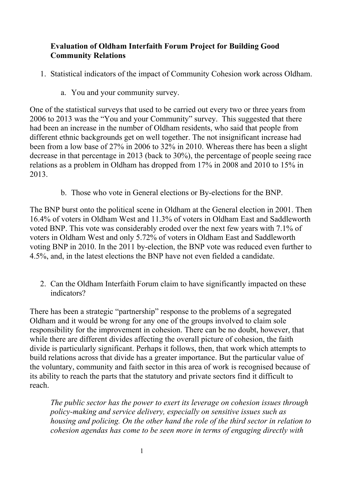## **Evaluation of Oldham Interfaith Forum Project for Building Good Community Relations**

- 1. Statistical indicators of the impact of Community Cohesion work across Oldham.
	- a. You and your community survey.

One of the statistical surveys that used to be carried out every two or three years from 2006 to 2013 was the "You and your Community" survey. This suggested that there had been an increase in the number of Oldham residents, who said that people from different ethnic backgrounds get on well together. The not insignificant increase had been from a low base of 27% in 2006 to 32% in 2010. Whereas there has been a slight decrease in that percentage in 2013 (back to 30%), the percentage of people seeing race relations as a problem in Oldham has dropped from 17% in 2008 and 2010 to 15% in 2013.

b. Those who vote in General elections or By-elections for the BNP.

The BNP burst onto the political scene in Oldham at the General election in 2001. Then 16.4% of voters in Oldham West and 11.3% of voters in Oldham East and Saddleworth voted BNP. This vote was considerably eroded over the next few years with 7.1% of voters in Oldham West and only 5.72% of voters in Oldham East and Saddleworth voting BNP in 2010. In the 2011 by-election, the BNP vote was reduced even further to 4.5%, and, in the latest elections the BNP have not even fielded a candidate.

2. Can the Oldham Interfaith Forum claim to have significantly impacted on these indicators?

There has been a strategic "partnership" response to the problems of a segregated Oldham and it would be wrong for any one of the groups involved to claim sole responsibility for the improvement in cohesion. There can be no doubt, however, that while there are different divides affecting the overall picture of cohesion, the faith divide is particularly significant. Perhaps it follows, then, that work which attempts to build relations across that divide has a greater importance. But the particular value of the voluntary, community and faith sector in this area of work is recognised because of its ability to reach the parts that the statutory and private sectors find it difficult to reach.

*The public sector has the power to exert its leverage on cohesion issues through policy-making and service delivery, especially on sensitive issues such as housing and policing. On the other hand the role of the third sector in relation to cohesion agendas has come to be seen more in terms of engaging directly with*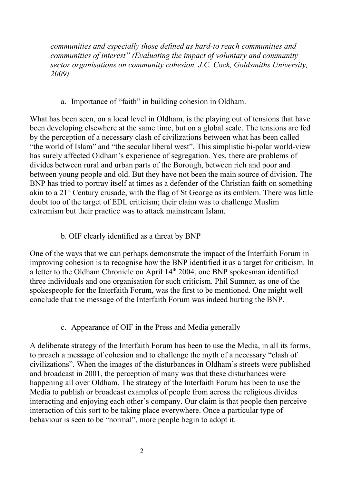*communities and especially those defined as hard-to reach communities and communities of interest" (Evaluating the impact of voluntary and community sector organisations on community cohesion, J.C. Cock, Goldsmiths University, 2009).*

a. Importance of "faith" in building cohesion in Oldham.

What has been seen, on a local level in Oldham, is the playing out of tensions that have been developing elsewhere at the same time, but on a global scale. The tensions are fed by the perception of a necessary clash of civilizations between what has been called "the world of Islam" and "the secular liberal west". This simplistic bi-polar world-view has surely affected Oldham's experience of segregation. Yes, there are problems of divides between rural and urban parts of the Borough, between rich and poor and between young people and old. But they have not been the main source of division. The BNP has tried to portray itself at times as a defender of the Christian faith on something akin to a  $21<sup>st</sup>$  Century crusade, with the flag of St George as its emblem. There was little doubt too of the target of EDL criticism; their claim was to challenge Muslim extremism but their practice was to attack mainstream Islam.

b. OIF clearly identified as a threat by BNP

One of the ways that we can perhaps demonstrate the impact of the Interfaith Forum in improving cohesion is to recognise how the BNP identified it as a target for criticism. In a letter to the Oldham Chronicle on April 14<sup>th</sup> 2004, one BNP spokesman identified three individuals and one organisation for such criticism. Phil Sumner, as one of the spokespeople for the Interfaith Forum, was the first to be mentioned. One might well conclude that the message of the Interfaith Forum was indeed hurting the BNP.

c. Appearance of OIF in the Press and Media generally

A deliberate strategy of the Interfaith Forum has been to use the Media, in all its forms, to preach a message of cohesion and to challenge the myth of a necessary "clash of civilizations". When the images of the disturbances in Oldham's streets were published and broadcast in 2001, the perception of many was that these disturbances were happening all over Oldham. The strategy of the Interfaith Forum has been to use the Media to publish or broadcast examples of people from across the religious divides interacting and enjoying each other's company. Our claim is that people then perceive interaction of this sort to be taking place everywhere. Once a particular type of behaviour is seen to be "normal", more people begin to adopt it.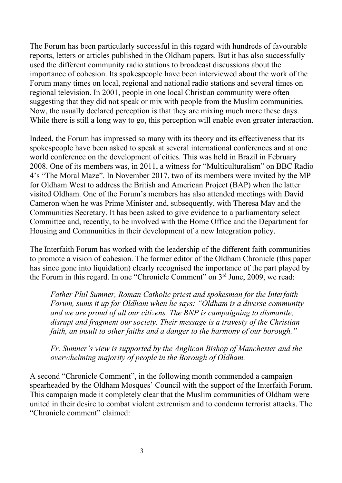The Forum has been particularly successful in this regard with hundreds of favourable reports, letters or articles published in the Oldham papers. But it has also successfully used the different community radio stations to broadcast discussions about the importance of cohesion. Its spokespeople have been interviewed about the work of the Forum many times on local, regional and national radio stations and several times on regional television. In 2001, people in one local Christian community were often suggesting that they did not speak or mix with people from the Muslim communities. Now, the usually declared perception is that they are mixing much more these days. While there is still a long way to go, this perception will enable even greater interaction.

Indeed, the Forum has impressed so many with its theory and its effectiveness that its spokespeople have been asked to speak at several international conferences and at one world conference on the development of cities. This was held in Brazil in February 2008. One of its members was, in 2011, a witness for "Multiculturalism" on BBC Radio 4's "The Moral Maze". In November 2017, two of its members were invited by the MP for Oldham West to address the British and American Project (BAP) when the latter visited Oldham. One of the Forum's members has also attended meetings with David Cameron when he was Prime Minister and, subsequently, with Theresa May and the Communities Secretary. It has been asked to give evidence to a parliamentary select Committee and, recently, to be involved with the Home Office and the Department for Housing and Communities in their development of a new Integration policy.

The Interfaith Forum has worked with the leadership of the different faith communities to promote a vision of cohesion. The former editor of the Oldham Chronicle (this paper has since gone into liquidation) clearly recognised the importance of the part played by the Forum in this regard. In one "Chronicle Comment" on 3<sup>rd</sup> June, 2009, we read:

*Father Phil Sumner, Roman Catholic priest and spokesman for the Interfaith Forum, sums it up for Oldham when he says: "Oldham is a diverse community and we are proud of all our citizens. The BNP is campaigning to dismantle, disrupt and fragment our society. Their message is a travesty of the Christian faith, an insult to other faiths and a danger to the harmony of our borough."* 

*Fr. Sumner's view is supported by the Anglican Bishop of Manchester and the overwhelming majority of people in the Borough of Oldham.*

A second "Chronicle Comment", in the following month commended a campaign spearheaded by the Oldham Mosques' Council with the support of the Interfaith Forum. This campaign made it completely clear that the Muslim communities of Oldham were united in their desire to combat violent extremism and to condemn terrorist attacks. The "Chronicle comment" claimed: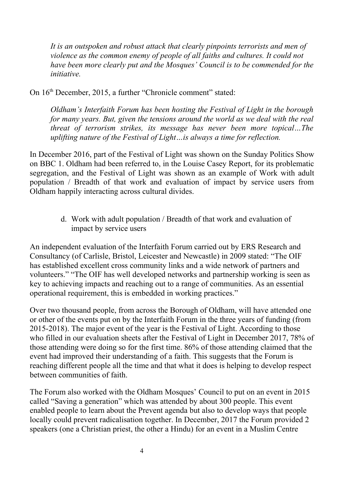*It is an outspoken and robust attack that clearly pinpoints terrorists and men of violence as the common enemy of people of all faiths and cultures. It could not have been more clearly put and the Mosques' Council is to be commended for the initiative.*

On 16th December, 2015, a further "Chronicle comment" stated:

*Oldham's Interfaith Forum has been hosting the Festival of Light in the borough for many years. But, given the tensions around the world as we deal with the real threat of terrorism strikes, its message has never been more topical…The uplifting nature of the Festival of Light…is always a time for reflection.*

In December 2016, part of the Festival of Light was shown on the Sunday Politics Show on BBC 1. Oldham had been referred to, in the Louise Casey Report, for its problematic segregation, and the Festival of Light was shown as an example of Work with adult population / Breadth of that work and evaluation of impact by service users from Oldham happily interacting across cultural divides.

> d. Work with adult population / Breadth of that work and evaluation of impact by service users

An independent evaluation of the Interfaith Forum carried out by ERS Research and Consultancy (of Carlisle, Bristol, Leicester and Newcastle) in 2009 stated: "The OIF has established excellent cross community links and a wide network of partners and volunteers." "The OIF has well developed networks and partnership working is seen as key to achieving impacts and reaching out to a range of communities. As an essential operational requirement, this is embedded in working practices."

Over two thousand people, from across the Borough of Oldham, will have attended one or other of the events put on by the Interfaith Forum in the three years of funding (from 2015-2018). The major event of the year is the Festival of Light. According to those who filled in our evaluation sheets after the Festival of Light in December 2017, 78% of those attending were doing so for the first time. 86% of those attending claimed that the event had improved their understanding of a faith. This suggests that the Forum is reaching different people all the time and that what it does is helping to develop respect between communities of faith.

The Forum also worked with the Oldham Mosques' Council to put on an event in 2015 called "Saving a generation" which was attended by about 300 people. This event enabled people to learn about the Prevent agenda but also to develop ways that people locally could prevent radicalisation together. In December, 2017 the Forum provided 2 speakers (one a Christian priest, the other a Hindu) for an event in a Muslim Centre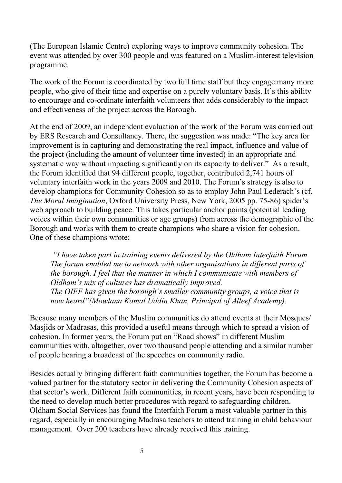(The European Islamic Centre) exploring ways to improve community cohesion. The event was attended by over 300 people and was featured on a Muslim-interest television programme.

The work of the Forum is coordinated by two full time staff but they engage many more people, who give of their time and expertise on a purely voluntary basis. It's this ability to encourage and co-ordinate interfaith volunteers that adds considerably to the impact and effectiveness of the project across the Borough.

At the end of 2009, an independent evaluation of the work of the Forum was carried out by ERS Research and Consultancy. There, the suggestion was made: "The key area for improvement is in capturing and demonstrating the real impact, influence and value of the project (including the amount of volunteer time invested) in an appropriate and systematic way without impacting significantly on its capacity to deliver." As a result, the Forum identified that 94 different people, together, contributed 2,741 hours of voluntary interfaith work in the years 2009 and 2010. The Forum's strategy is also to develop champions for Community Cohesion so as to employ John Paul Lederach's (cf. *The Moral Imagination*, Oxford University Press, New York, 2005 pp. 75-86) spider's web approach to building peace. This takes particular anchor points (potential leading voices within their own communities or age groups) from across the demographic of the Borough and works with them to create champions who share a vision for cohesion. One of these champions wrote:

 *"I have taken part in training events delivered by the Oldham Interfaith Forum. The forum enabled me to network with other organisations in different parts of the borough. I feel that the manner in which I communicate with members of Oldham's mix of cultures has dramatically improved. The OIFF has given the borough's smaller community groups, a voice that is now heard"(Mowlana Kamal Uddin Khan, Principal of Alleef Academy).*

Because many members of the Muslim communities do attend events at their Mosques/ Masjids or Madrasas, this provided a useful means through which to spread a vision of cohesion. In former years, the Forum put on "Road shows" in different Muslim communities with, altogether, over two thousand people attending and a similar number of people hearing a broadcast of the speeches on community radio.

Besides actually bringing different faith communities together, the Forum has become a valued partner for the statutory sector in delivering the Community Cohesion aspects of that sector's work. Different faith communities, in recent years, have been responding to the need to develop much better procedures with regard to safeguarding children. Oldham Social Services has found the Interfaith Forum a most valuable partner in this regard, especially in encouraging Madrasa teachers to attend training in child behaviour management. Over 200 teachers have already received this training.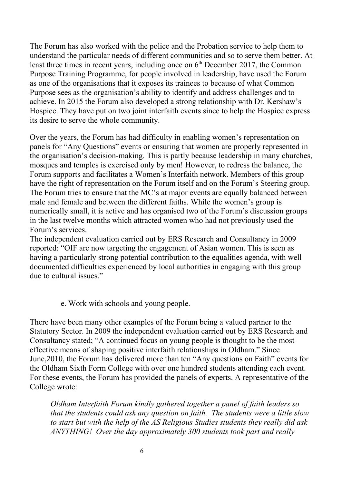The Forum has also worked with the police and the Probation service to help them to understand the particular needs of different communities and so to serve them better. At least three times in recent years, including once on  $6<sup>th</sup>$  December 2017, the Common Purpose Training Programme, for people involved in leadership, have used the Forum as one of the organisations that it exposes its trainees to because of what Common Purpose sees as the organisation's ability to identify and address challenges and to achieve. In 2015 the Forum also developed a strong relationship with Dr. Kershaw's Hospice. They have put on two joint interfaith events since to help the Hospice express its desire to serve the whole community.

Over the years, the Forum has had difficulty in enabling women's representation on panels for "Any Questions" events or ensuring that women are properly represented in the organisation's decision-making. This is partly because leadership in many churches, mosques and temples is exercised only by men! However, to redress the balance, the Forum supports and facilitates a Women's Interfaith network. Members of this group have the right of representation on the Forum itself and on the Forum's Steering group. The Forum tries to ensure that the MC's at major events are equally balanced between male and female and between the different faiths. While the women's group is numerically small, it is active and has organised two of the Forum's discussion groups in the last twelve months which attracted women who had not previously used the Forum's services.

The independent evaluation carried out by ERS Research and Consultancy in 2009 reported: "OIF are now targeting the engagement of Asian women. This is seen as having a particularly strong potential contribution to the equalities agenda, with well documented difficulties experienced by local authorities in engaging with this group due to cultural issues."

## e. Work with schools and young people.

There have been many other examples of the Forum being a valued partner to the Statutory Sector. In 2009 the independent evaluation carried out by ERS Research and Consultancy stated; "A continued focus on young people is thought to be the most effective means of shaping positive interfaith relationships in Oldham." Since June,2010, the Forum has delivered more than ten "Any questions on Faith" events for the Oldham Sixth Form College with over one hundred students attending each event. For these events, the Forum has provided the panels of experts. A representative of the College wrote:

*Oldham Interfaith Forum kindly gathered together a panel of faith leaders so that the students could ask any question on faith. The students were a little slow to start but with the help of the AS Religious Studies students they really did ask ANYTHING! Over the day approximately 300 students took part and really*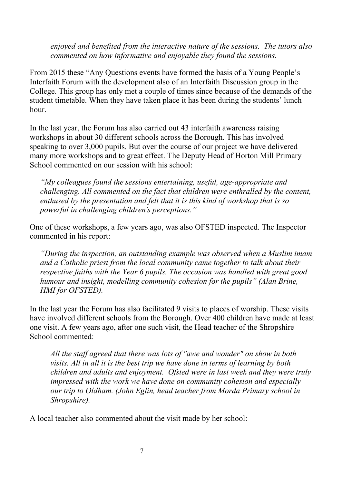*enjoyed and benefited from the interactive nature of the sessions. The tutors also commented on how informative and enjoyable they found the sessions.* 

From 2015 these "Any Questions events have formed the basis of a Young People's Interfaith Forum with the development also of an Interfaith Discussion group in the College. This group has only met a couple of times since because of the demands of the student timetable. When they have taken place it has been during the students' lunch hour.

In the last year, the Forum has also carried out 43 interfaith awareness raising workshops in about 30 different schools across the Borough. This has involved speaking to over 3,000 pupils. But over the course of our project we have delivered many more workshops and to great effect. The Deputy Head of Horton Mill Primary School commented on our session with his school:

*"My colleagues found the sessions entertaining, useful, age-appropriate and challenging. All commented on the fact that children were enthralled by the content, enthused by the presentation and felt that it is this kind of workshop that is so powerful in challenging children's perceptions."*

One of these workshops, a few years ago, was also OFSTED inspected. The Inspector commented in his report:

*"During the inspection, an outstanding example was observed when a Muslim imam and a Catholic priest from the local community came together to talk about their respective faiths with the Year 6 pupils. The occasion was handled with great good humour and insight, modelling community cohesion for the pupils" (Alan Brine, HMI for OFSTED).*

In the last year the Forum has also facilitated 9 visits to places of worship. These visits have involved different schools from the Borough. Over 400 children have made at least one visit. A few years ago, after one such visit, the Head teacher of the Shropshire School commented:

*All the staff agreed that there was lots of "awe and wonder" on show in both visits. All in all it is the best trip we have done in terms of learning by both children and adults and enjoyment. Ofsted were in last week and they were truly impressed with the work we have done on community cohesion and especially our trip to Oldham. (John Eglin, head teacher from Morda Primary school in Shropshire).*

A local teacher also commented about the visit made by her school: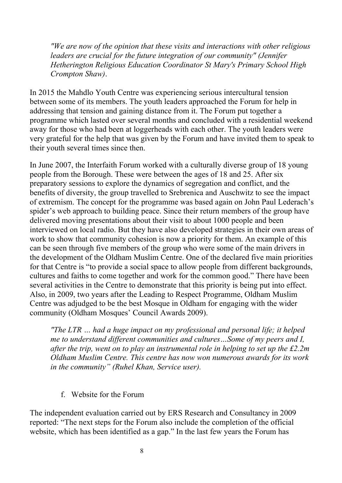*"We are now of the opinion that these visits and interactions with other religious leaders are crucial for the future integration of our community" (Jennifer Hetherington Religious Education Coordinator St Mary's Primary School High Crompton Shaw)*.

In 2015 the Mahdlo Youth Centre was experiencing serious intercultural tension between some of its members. The youth leaders approached the Forum for help in addressing that tension and gaining distance from it. The Forum put together a programme which lasted over several months and concluded with a residential weekend away for those who had been at loggerheads with each other. The youth leaders were very grateful for the help that was given by the Forum and have invited them to speak to their youth several times since then.

In June 2007, the Interfaith Forum worked with a culturally diverse group of 18 young people from the Borough. These were between the ages of 18 and 25. After six preparatory sessions to explore the dynamics of segregation and conflict, and the benefits of diversity, the group travelled to Srebrenica and Auschwitz to see the impact of extremism. The concept for the programme was based again on John Paul Lederach's spider's web approach to building peace. Since their return members of the group have delivered moving presentations about their visit to about 1000 people and been interviewed on local radio. But they have also developed strategies in their own areas of work to show that community cohesion is now a priority for them. An example of this can be seen through five members of the group who were some of the main drivers in the development of the Oldham Muslim Centre. One of the declared five main priorities for that Centre is "to provide a social space to allow people from different backgrounds, cultures and faiths to come together and work for the common good." There have been several activities in the Centre to demonstrate that this priority is being put into effect. Also, in 2009, two years after the Leading to Respect Programme, Oldham Muslim Centre was adjudged to be the best Mosque in Oldham for engaging with the wider community (Oldham Mosques' Council Awards 2009).

*"The LTR … had a huge impact on my professional and personal life; it helped me to understand different communities and cultures…Some of my peers and I, after the trip, went on to play an instrumental role in helping to set up the £2.2m Oldham Muslim Centre. This centre has now won numerous awards for its work in the community" (Ruhel Khan, Service user).*

## f. Website for the Forum

The independent evaluation carried out by ERS Research and Consultancy in 2009 reported: "The next steps for the Forum also include the completion of the official website, which has been identified as a gap." In the last few years the Forum has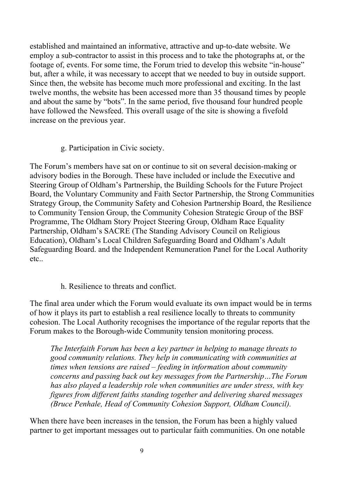established and maintained an informative, attractive and up-to-date website. We employ a sub-contractor to assist in this process and to take the photographs at, or the footage of, events. For some time, the Forum tried to develop this website "in-house" but, after a while, it was necessary to accept that we needed to buy in outside support. Since then, the website has become much more professional and exciting. In the last twelve months, the website has been accessed more than 35 thousand times by people and about the same by "bots". In the same period, five thousand four hundred people have followed the Newsfeed. This overall usage of the site is showing a fivefold increase on the previous year.

g. Participation in Civic society.

The Forum's members have sat on or continue to sit on several decision-making or advisory bodies in the Borough. These have included or include the Executive and Steering Group of Oldham's Partnership, the Building Schools for the Future Project Board, the Voluntary Community and Faith Sector Partnership, the Strong Communities Strategy Group, the Community Safety and Cohesion Partnership Board, the Resilience to Community Tension Group, the Community Cohesion Strategic Group of the BSF Programme, The Oldham Story Project Steering Group, Oldham Race Equality Partnership, Oldham's SACRE (The Standing Advisory Council on Religious Education), Oldham's Local Children Safeguarding Board and Oldham's Adult Safeguarding Board. and the Independent Remuneration Panel for the Local Authority etc..

h. Resilience to threats and conflict.

The final area under which the Forum would evaluate its own impact would be in terms of how it plays its part to establish a real resilience locally to threats to community cohesion. The Local Authority recognises the importance of the regular reports that the Forum makes to the Borough-wide Community tension monitoring process.

*The Interfaith Forum has been a key partner in helping to manage threats to good community relations. They help in communicating with communities at times when tensions are raised – feeding in information about community concerns and passing back out key messages from the Partnership…The Forum has also played a leadership role when communities are under stress, with key figures from different faiths standing together and delivering shared messages (Bruce Penhale, Head of Community Cohesion Support, Oldham Council).* 

When there have been increases in the tension, the Forum has been a highly valued partner to get important messages out to particular faith communities. On one notable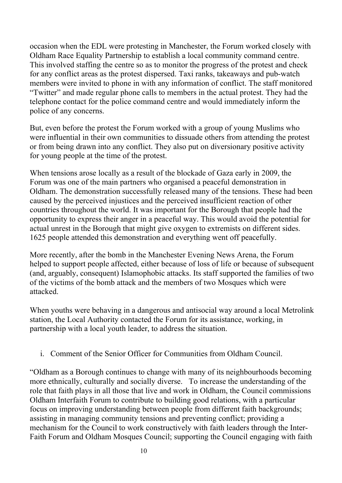occasion when the EDL were protesting in Manchester, the Forum worked closely with Oldham Race Equality Partnership to establish a local community command centre. This involved staffing the centre so as to monitor the progress of the protest and check for any conflict areas as the protest dispersed. Taxi ranks, takeaways and pub-watch members were invited to phone in with any information of conflict. The staff monitored "Twitter" and made regular phone calls to members in the actual protest. They had the telephone contact for the police command centre and would immediately inform the police of any concerns.

But, even before the protest the Forum worked with a group of young Muslims who were influential in their own communities to dissuade others from attending the protest or from being drawn into any conflict. They also put on diversionary positive activity for young people at the time of the protest.

When tensions arose locally as a result of the blockade of Gaza early in 2009, the Forum was one of the main partners who organised a peaceful demonstration in Oldham. The demonstration successfully released many of the tensions. These had been caused by the perceived injustices and the perceived insufficient reaction of other countries throughout the world. It was important for the Borough that people had the opportunity to express their anger in a peaceful way. This would avoid the potential for actual unrest in the Borough that might give oxygen to extremists on different sides. 1625 people attended this demonstration and everything went off peacefully.

More recently, after the bomb in the Manchester Evening News Arena, the Forum helped to support people affected, either because of loss of life or because of subsequent (and, arguably, consequent) Islamophobic attacks. Its staff supported the families of two of the victims of the bomb attack and the members of two Mosques which were attacked.

When youths were behaving in a dangerous and antisocial way around a local Metrolink station, the Local Authority contacted the Forum for its assistance, working, in partnership with a local youth leader, to address the situation.

i. Comment of the Senior Officer for Communities from Oldham Council.

"Oldham as a Borough continues to change with many of its neighbourhoods becoming more ethnically, culturally and socially diverse. To increase the understanding of the role that faith plays in all those that live and work in Oldham, the Council commissions Oldham Interfaith Forum to contribute to building good relations, with a particular focus on improving understanding between people from different faith backgrounds; assisting in managing community tensions and preventing conflict; providing a mechanism for the Council to work constructively with faith leaders through the Inter-Faith Forum and Oldham Mosques Council; supporting the Council engaging with faith